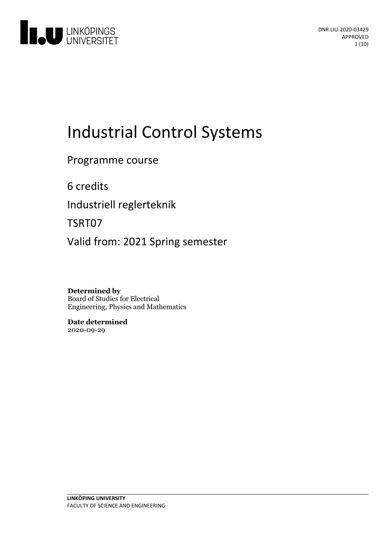

# **Industrial Control Systems**

Programme course

6 credits

Industriell reglerteknik

TSRT07

Valid from: 2021 Spring semester

**Determined by** Board of Studies for Electrical Engineering, Physics and Mathematics

**Date determined** 2020-09-29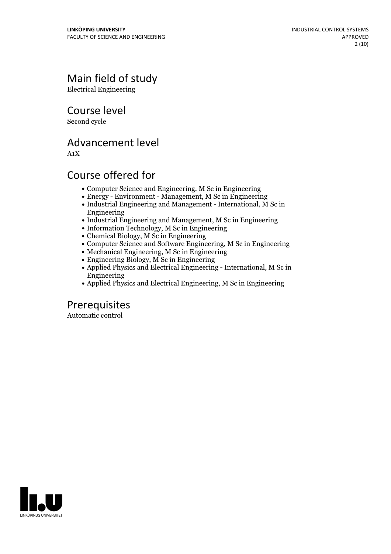# Main field of study

Electrical Engineering

Course level

Second cycle

# Advancement level

A1X

# Course offered for

- Computer Science and Engineering, M Sc in Engineering
- Energy Environment Management, M Sc inEngineering
- Industrial Engineering and Management International, M Sc in Engineering
- Industrial Engineering and Management, M Sc in Engineering
- Information Technology, M Sc in Engineering
- Chemical Biology, M Sc in Engineering
- Computer Science and Software Engineering, M Sc in Engineering
- Mechanical Engineering, M Sc in Engineering
- Engineering Biology, M Sc in Engineering
- Applied Physics and Electrical Engineering International, M Sc in Engineering
- Applied Physics and Electrical Engineering, M Sc in Engineering

# Prerequisites

Automatic control

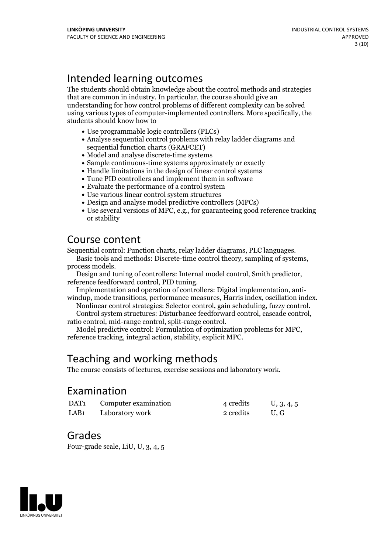# Intended learning outcomes

The students should obtain knowledge about the control methods and strategies that are common in industry. In particular, the course should give an understanding for how control problems of different complexity can be solved using various types of computer-implemented controllers. More specifically, the students should know how to

- Use programmable logic controllers (PLCs)
- Analyse sequential control problems with relay ladder diagrams and sequential function charts (GRAFCET)
- Model and analyse discrete-time systems
- Sample continuous-time systems approximately or exactly
- Handle limitations in the design of linear control systems
- Tune PID controllers and implement them in software
- Evaluate the performance of a control system
- Use various linear control system structures
- Design and analyse model predictive controllers (MPCs)
- Use several versions of MPC, e.g., for guaranteeing good reference tracking or stability

# Course content

Sequential control: Function charts, relay ladder diagrams, PLC languages.<br>
Basic tools and methods: Discrete-time control theory, sampling of systems,<br>
process models.<br>
Design and tuning of controllers: Internal model con

# Teaching and working methods

The course consists of lectures, exercise sessions and laboratory work.

## Examination

| DAT1             | Computer examination | 4 credits | U, 3, 4, 5 |
|------------------|----------------------|-----------|------------|
| LAB <sub>1</sub> | Laboratory work      | 2 credits | U.G        |

### Grades

Four-grade scale, LiU, U, 3, 4, 5

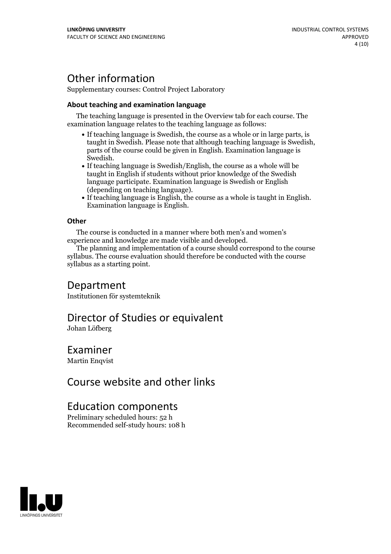# Other information

Supplementary courses: Control Project Laboratory

### **About teaching and examination language**

The teaching language is presented in the Overview tab for each course. The examination language relates to the teaching language as follows:

- If teaching language is Swedish, the course as a whole or in large parts, is taught in Swedish. Please note that although teaching language is Swedish, parts of the course could be given in English. Examination language is Swedish.<br>• If teaching language is Swedish/English, the course as a whole will be
- taught in English if students without prior knowledge of the Swedish language participate. Examination language is Swedish or English
- (depending on teaching language).<br>• If teaching language is English, the course as a whole is taught in English.<br>Examination language is English.

### **Other**

The course is conducted in a manner where both men's and women's experience and knowledge are made visible and developed.

The planning and implementation of a course should correspond to the course syllabus. The course evaluation should therefore be conducted with the course syllabus as a starting point.

## Department

Institutionen för systemteknik

# Director of Studies or equivalent

Johan Löfberg

### Examiner

Martin Enqvist

## Course website and other links

### Education components

Preliminary scheduled hours: 52 h Recommended self-study hours: 108 h

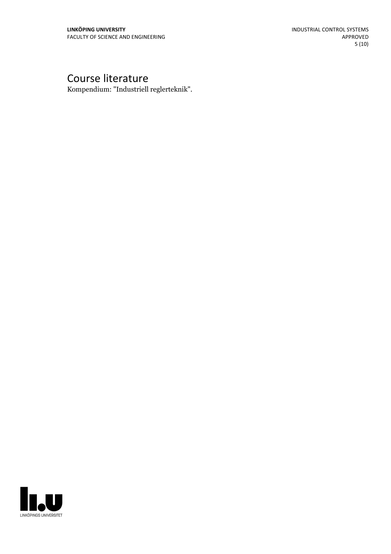# Course literature

Kompendium: "Industriell reglerteknik".

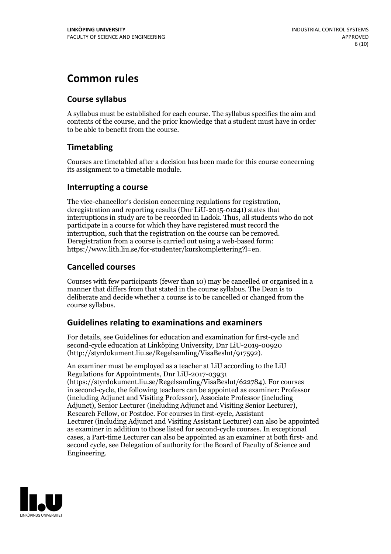# **Common rules**

### **Course syllabus**

A syllabus must be established for each course. The syllabus specifies the aim and contents of the course, and the prior knowledge that a student must have in order to be able to benefit from the course.

### **Timetabling**

Courses are timetabled after a decision has been made for this course concerning its assignment to a timetable module.

### **Interrupting a course**

The vice-chancellor's decision concerning regulations for registration, deregistration and reporting results (Dnr LiU-2015-01241) states that interruptions in study are to be recorded in Ladok. Thus, all students who do not participate in a course for which they have registered must record the interruption, such that the registration on the course can be removed. Deregistration from <sup>a</sup> course is carried outusing <sup>a</sup> web-based form: https://www.lith.liu.se/for-studenter/kurskomplettering?l=en.

### **Cancelled courses**

Courses with few participants (fewer than 10) may be cancelled or organised in a manner that differs from that stated in the course syllabus. The Dean is to deliberate and decide whether a course is to be cancelled or changed from the course syllabus.

### **Guidelines relatingto examinations and examiners**

For details, see Guidelines for education and examination for first-cycle and second-cycle education at Linköping University, Dnr LiU-2019-00920 (http://styrdokument.liu.se/Regelsamling/VisaBeslut/917592).

An examiner must be employed as a teacher at LiU according to the LiU Regulations for Appointments, Dnr LiU-2017-03931 (https://styrdokument.liu.se/Regelsamling/VisaBeslut/622784). For courses in second-cycle, the following teachers can be appointed as examiner: Professor (including Adjunct and Visiting Professor), Associate Professor (including Adjunct), Senior Lecturer (including Adjunct and Visiting Senior Lecturer), Research Fellow, or Postdoc. For courses in first-cycle, Assistant Lecturer (including Adjunct and Visiting Assistant Lecturer) can also be appointed as examiner in addition to those listed for second-cycle courses. In exceptional cases, a Part-time Lecturer can also be appointed as an examiner at both first- and second cycle, see Delegation of authority for the Board of Faculty of Science and Engineering.

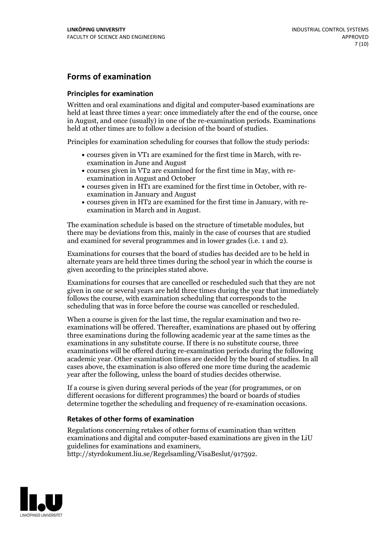### **Forms of examination**

#### **Principles for examination**

Written and oral examinations and digital and computer-based examinations are held at least three times a year: once immediately after the end of the course, once in August, and once (usually) in one of the re-examination periods. Examinations held at other times are to follow a decision of the board of studies.

Principles for examination scheduling for courses that follow the study periods:

- courses given in VT1 are examined for the first time in March, with re-examination in June and August
- courses given in VT2 are examined for the first time in May, with re-examination in August and October
- courses given in HT1 are examined for the first time in October, with re-examination in January and August
- courses given in HT2 are examined for the first time in January, with re-examination in March and in August.

The examination schedule is based on the structure of timetable modules, but there may be deviations from this, mainly in the case of courses that are studied and examined for several programmes and in lower grades (i.e. 1 and 2).

Examinations for courses that the board of studies has decided are to be held in alternate years are held three times during the school year in which the course is given according to the principles stated above.

Examinations for courses that are cancelled orrescheduled such that they are not given in one or several years are held three times during the year that immediately follows the course, with examination scheduling that corresponds to the scheduling that was in force before the course was cancelled or rescheduled.

When a course is given for the last time, the regular examination and two re-<br>examinations will be offered. Thereafter, examinations are phased out by offering three examinations during the following academic year at the same times as the examinations in any substitute course. If there is no substitute course, three examinations will be offered during re-examination periods during the following academic year. Other examination times are decided by the board of studies. In all cases above, the examination is also offered one more time during the academic year after the following, unless the board of studies decides otherwise.

If a course is given during several periods of the year (for programmes, or on different occasions for different programmes) the board or boards of studies determine together the scheduling and frequency of re-examination occasions.

#### **Retakes of other forms of examination**

Regulations concerning retakes of other forms of examination than written examinations and digital and computer-based examinations are given in the LiU guidelines for examinations and examiners, http://styrdokument.liu.se/Regelsamling/VisaBeslut/917592.

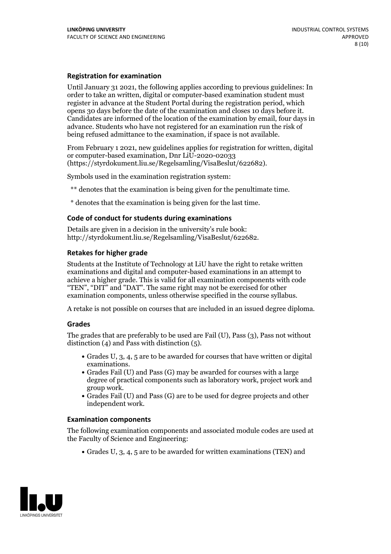#### **Registration for examination**

Until January 31 2021, the following applies according to previous guidelines: In order to take an written, digital or computer-based examination student must register in advance at the Student Portal during the registration period, which Candidates are informed of the location of the examination by email, four days in advance. Students who have not registered for an examination run the risk of being refused admittance to the examination, if space is not available.

From February 1 2021, new guidelines applies for registration for written, digital or computer-based examination, Dnr LiU-2020-02033 (https://styrdokument.liu.se/Regelsamling/VisaBeslut/622682).

Symbols used in the examination registration system:

\*\* denotes that the examination is being given for the penultimate time.

\* denotes that the examination is being given for the last time.

#### **Code of conduct for students during examinations**

Details are given in a decision in the university's rule book: http://styrdokument.liu.se/Regelsamling/VisaBeslut/622682.

#### **Retakes for higher grade**

Students at the Institute of Technology at LiU have the right to retake written examinations and digital and computer-based examinations in an attempt to achieve a higher grade. This is valid for all examination components with code "TEN", "DIT" and "DAT". The same right may not be exercised for other examination components, unless otherwise specified in the course syllabus.

A retake is not possible on courses that are included in an issued degree diploma.

#### **Grades**

The grades that are preferably to be used are Fail (U), Pass (3), Pass not without distinction  $(4)$  and Pass with distinction  $(5)$ .

- Grades U, 3, 4, 5 are to be awarded for courses that have written or digital
- examinations.<br>• Grades Fail (U) and Pass (G) may be awarded for courses with a large degree of practical components such as laboratory work, project work and
- $\bullet$  Grades Fail (U) and Pass (G) are to be used for degree projects and other independent work.

#### **Examination components**

The following examination components and associated module codes are used at the Faculty of Science and Engineering:

Grades U, 3, 4, 5 are to be awarded for written examinations (TEN) and

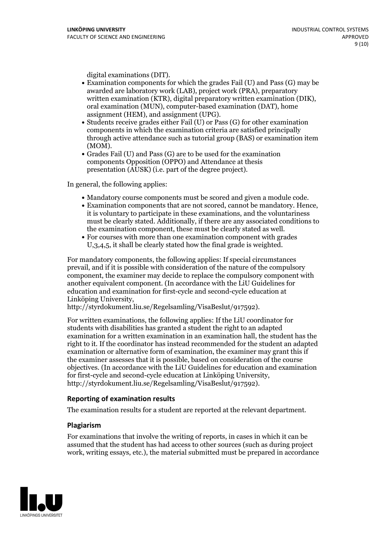- digital examinations (DIT).<br>• Examination components for which the grades Fail (U) and Pass (G) may be awarded are laboratory work (LAB), project work (PRA), preparatory written examination (KTR), digital preparatory written examination (DIK), oral examination (MUN), computer-based examination (DAT), home
- assignment (HEM), and assignment (UPG).<br>• Students receive grades either Fail (U) or Pass (G) for other examination components in which the examination criteria are satisfied principally through active attendance such as tutorial group (BAS) or examination item
- (MOM).<br>• Grades Fail (U) and Pass (G) are to be used for the examination components Opposition (OPPO) and Attendance at thesis presentation (AUSK) (i.e. part of the degree project).

In general, the following applies:

- 
- Mandatory course components must be scored and given <sup>a</sup> module code. Examination components that are not scored, cannot be mandatory. Hence, it is voluntary to participate in these examinations, and the voluntariness must be clearly stated. Additionally, if there are any associated conditions to the examination component, these must be clearly stated as well.<br>• For courses with more than one examination component with grades
- U,3,4,5, it shall be clearly stated how the final grade is weighted.

For mandatory components, the following applies: If special circumstances prevail, and if it is possible with consideration of the nature ofthe compulsory component, the examiner may decide to replace the compulsory component with another equivalent component. (In accordance with the LiU Guidelines for education and examination for first-cycle and second-cycle education at Linköping University, http://styrdokument.liu.se/Regelsamling/VisaBeslut/917592).

For written examinations, the following applies: If the LiU coordinator for students with disabilities has granted a student the right to an adapted examination for a written examination in an examination hall, the student has the right to it. If the coordinator has instead recommended for the student an adapted examination or alternative form of examination, the examiner may grant this if the examiner assesses that it is possible, based on consideration of the course objectives. (In accordance with the LiU Guidelines for education and examination for first-cycle and second-cycle education at Linköping University, http://styrdokument.liu.se/Regelsamling/VisaBeslut/917592).

#### **Reporting of examination results**

The examination results for a student are reported at the relevant department.

#### **Plagiarism**

For examinations that involve the writing of reports, in cases in which it can be assumed that the student has had access to other sources (such as during project work, writing essays, etc.), the material submitted must be prepared in accordance